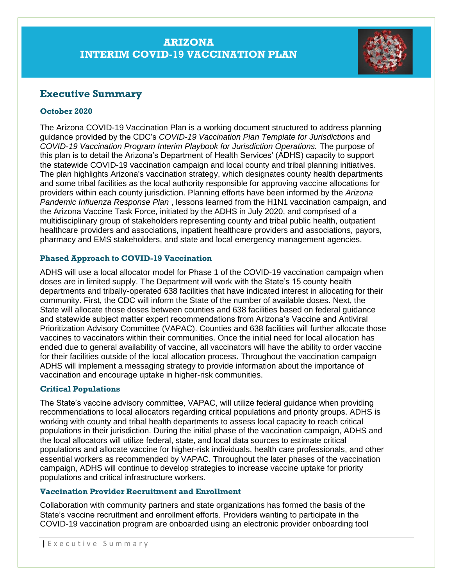# **ARIZONA INTERIM COVID-19 VACCINATION PLAN**



# **Executive Summary**

### **October 2020**

The Arizona COVID-19 Vaccination Plan is a working document structured to address planning guidance provided by the CDC's *COVID-19 Vaccination Plan Template for Jurisdictions* and *COVID-19 Vaccination Program Interim Playbook for Jurisdiction Operations.* The purpose of this plan is to detail the Arizona's Department of Health Services' (ADHS) capacity to support the statewide COVID-19 vaccination campaign and local county and tribal planning initiatives. The plan highlights Arizona's vaccination strategy, which designates county health departments and some tribal facilities as the local authority responsible for approving vaccine allocations for providers within each county jurisdiction. Planning efforts have been informed by the *Arizona Pandemic Influenza Response Plan* , lessons learned from the H1N1 vaccination campaign, and the Arizona Vaccine Task Force, initiated by the ADHS in July 2020, and comprised of a multidisciplinary group of stakeholders representing county and tribal public health, outpatient healthcare providers and associations, inpatient healthcare providers and associations, payors, pharmacy and EMS stakeholders, and state and local emergency management agencies.

### **Phased Approach to COVID-19 Vaccination**

ADHS will use a local allocator model for Phase 1 of the COVID-19 vaccination campaign when doses are in limited supply. The Department will work with the State's 15 county health departments and tribally-operated 638 facilities that have indicated interest in allocating for their community. First, the CDC will inform the State of the number of available doses. Next, the State will allocate those doses between counties and 638 facilities based on federal guidance and statewide subject matter expert recommendations from Arizona's Vaccine and Antiviral Prioritization Advisory Committee (VAPAC). Counties and 638 facilities will further allocate those vaccines to vaccinators within their communities. Once the initial need for local allocation has ended due to general availability of vaccine, all vaccinators will have the ability to order vaccine for their facilities outside of the local allocation process. Throughout the vaccination campaign ADHS will implement a messaging strategy to provide information about the importance of vaccination and encourage uptake in higher-risk communities.

## **Critical Populations**

The State's vaccine advisory committee, VAPAC, will utilize federal guidance when providing recommendations to local allocators regarding critical populations and priority groups. ADHS is working with county and tribal health departments to assess local capacity to reach critical populations in their jurisdiction. During the initial phase of the vaccination campaign, ADHS and the local allocators will utilize federal, state, and local data sources to estimate critical populations and allocate vaccine for higher-risk individuals, health care professionals, and other essential workers as recommended by VAPAC. Throughout the later phases of the vaccination campaign, ADHS will continue to develop strategies to increase vaccine uptake for priority populations and critical infrastructure workers.

## **Vaccination Provider Recruitment and Enrollment**

Collaboration with community partners and state organizations has formed the basis of the State's vaccine recruitment and enrollment efforts. Providers wanting to participate in the COVID-19 vaccination program are onboarded using an electronic provider onboarding tool